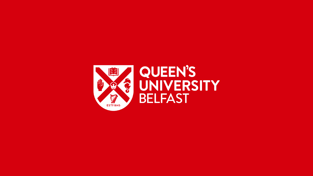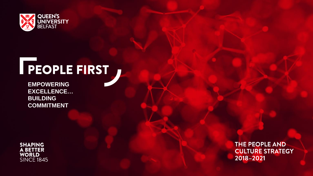

# **FEOPLE FIRST**

**EMPOWERING EXCELLENCE… BUILDING COMMITMENT**



THE PEOPLE AND **CULTURE STRATEGY** 2018-2021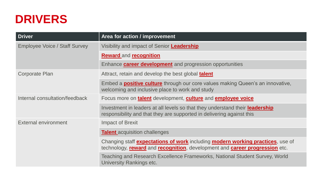### **DRIVERS**

| <b>Driver</b>                        | Area for action / improvement                                                                                                                                                |
|--------------------------------------|------------------------------------------------------------------------------------------------------------------------------------------------------------------------------|
| <b>Employee Voice / Staff Survey</b> | Visibility and impact of Senior Leadership                                                                                                                                   |
|                                      | <b>Reward and recognition</b>                                                                                                                                                |
|                                      | Enhance <b>career development</b> and progression opportunities                                                                                                              |
| Corporate Plan                       | Attract, retain and develop the best global <b>talent</b>                                                                                                                    |
|                                      | Embed a <b>positive culture</b> through our core values making Queen's an innovative,<br>welcoming and inclusive place to work and study                                     |
| Internal consultation/feedback       | Focus more on <b>talent</b> development, <b>culture</b> and <b>employee voice</b>                                                                                            |
|                                      | Investment in leaders at all levels so that they understand their <b>leadership</b><br>responsibility and that they are supported in delivering against this                 |
| External environment                 | <b>Impact of Brexit</b>                                                                                                                                                      |
|                                      | <b>Talent</b> acquisition challenges                                                                                                                                         |
|                                      | Changing staff <b>expectations of work</b> including <b>modern working practices</b> , use of<br>technology, reward and recognition, development and career progression etc. |
|                                      | Teaching and Research Excellence Frameworks, National Student Survey, World<br>University Rankings etc.                                                                      |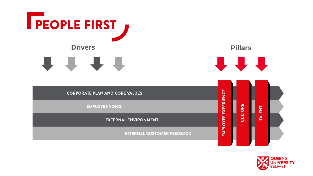

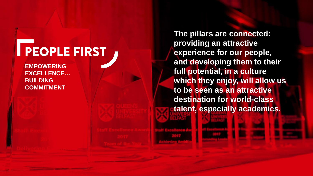# **PEOPLE FIRST**

**EMPOWERING EXCELLENCE … BUILDING COMMITMENT**

**The pillars are connected: providing an attractive experience for our people, and developing them to their full potential, in a culture which they enjoy, will allow us to be seen as an attractive destination for world -class talent, especially academics.**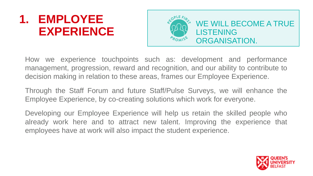## **1. EMPLOYEE EXPERIENCE**



How we experience touchpoints such as: development and performance management, progression, reward and recognition, and our ability to contribute to decision making in relation to these areas, frames our Employee Experience.

Through the Staff Forum and future Staff/Pulse Surveys, we will enhance the Employee Experience, by co-creating solutions which work for everyone.

Developing our Employee Experience will help us retain the skilled people who already work here and to attract new talent. Improving the experience that employees have at work will also impact the student experience.

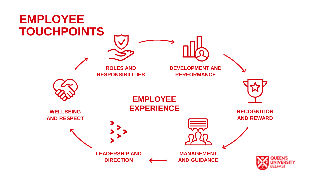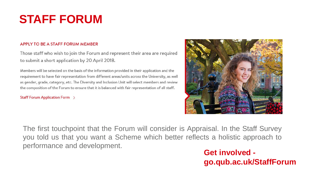## **STAFF FORUM**

#### APPLY TO BE A STAFF FORUM MEMBER

Those staff who wish to join the Forum and represent their area are required to submit a short application by 20 April 2018.

Members will be selected on the basis of the information provided in their application and the requirement to have fair representation from different areas/units across the University, as well as gender, grade, category, etc. The Diversity and Inclusion Unit will select members and review the composition of the Forum to ensure that it is balanced with fair representation of all staff.

#### Staff Forum Application Form >



The first touchpoint that the Forum will consider is Appraisal. In the Staff Survey you told us that you want a Scheme which better reflects a holistic approach to performance and development.

#### **Get involved go.qub.ac.uk/StaffForum**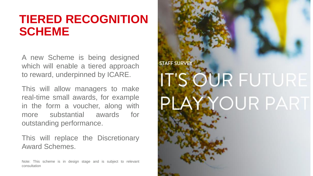### **TIERED RECOGNITION SCHEME**

A new Scheme is being designed which will enable a tiered approach to reward, underpinned by ICARE.

This will allow managers to make real-time small awards, for example in the form a voucher, along with more substantial awards for outstanding performance.

This will replace the Discretionary Award Schemes.

Note: This scheme is in design stage and is subject to relevant consultation

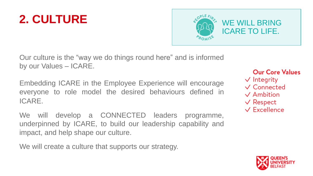

Our culture is the "way we do things round here" and is informed by our Values – ICARE.

Embedding ICARE in the Employee Experience will encourage everyone to role model the desired behaviours defined in ICARE.

We will develop a CONNECTED leaders programme, underpinned by ICARE, to build our leadership capability and impact, and help shape our culture.

We will create a culture that supports our strategy.

#### **Our Core Values**

- $\sqrt{}$  Integrity
- $\sqrt{\ }$  Connected
- $\vee$  Ambition
- $\vee$  Respect
- $\sqrt{\frac{F}{k}}$  Excellence

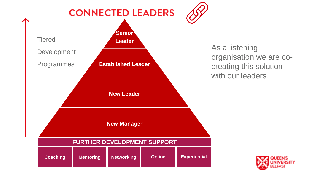

As a listening organisation we are cocreating this solution with our leaders.

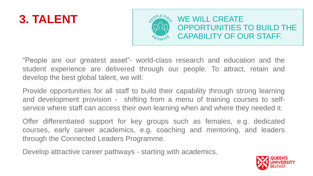

"People are our greatest asset"- world-class research and education and the student experience are delivered through our people. To attract, retain and develop the best global talent, we will:

Provide opportunities for all staff to build their capability through strong learning and development provision - shifting from a menu of training courses to selfservice where staff can access their own learning when and where they needed it.

Offer differentiated support for key groups such as females, e.g. dedicated courses, early career academics, e.g. coaching and mentoring, and leaders through the Connected Leaders Programme.

Develop attractive career pathways - starting with academics.

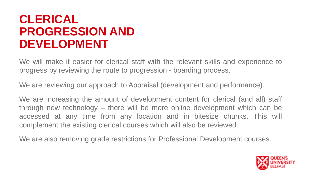### **CLERICAL PROGRESSION AND DEVELOPMENT**

We will make it easier for clerical staff with the relevant skills and experience to progress by reviewing the route to progression - boarding process.

We are reviewing our approach to Appraisal (development and performance).

We are increasing the amount of development content for clerical (and all) staff through new technology – there will be more online development which can be accessed at any time from any location and in bitesize chunks. This will complement the existing clerical courses which will also be reviewed.

We are also removing grade restrictions for Professional Development courses.

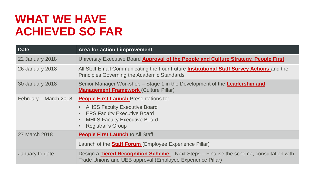## **WHAT WE HAVE ACHIEVED SO FAR**

| <b>Date</b>            | Area for action / improvement                                                                                                                                                                             |
|------------------------|-----------------------------------------------------------------------------------------------------------------------------------------------------------------------------------------------------------|
| <b>22 January 2018</b> | University Executive Board Approval of the People and Culture Strategy, People First                                                                                                                      |
| <b>26 January 2018</b> | All Staff Email Communicating the Four Future <b>Institutional Staff Survey Actions</b> and the<br><b>Principles Governing the Academic Standards</b>                                                     |
| <b>30 January 2018</b> | Senior Manager Workshop – Stage 1 in the Development of the Leadership and<br><b>Management Framework (Culture Pillar)</b>                                                                                |
| February – March 2018  | <b>People First Launch</b> Presentations to:<br><b>AHSS Faculty Executive Board</b><br>$\bullet$<br><b>EPS Faculty Executive Board</b><br><b>MHLS Faculty Executive Board</b><br><b>Registrar's Group</b> |
| 27 March 2018          | <b>People First Launch to All Staff</b>                                                                                                                                                                   |
|                        | Launch of the <b>Staff Forum</b> (Employee Experience Pillar)                                                                                                                                             |
| January to date        | Design a <b>Tiered Recognition Scheme</b> – Next Steps – Finalise the scheme, consultation with<br>Trade Unions and UEB approval (Employee Experience Pillar)                                             |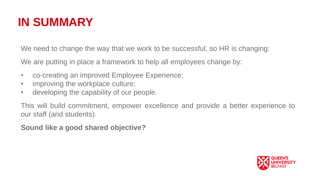## **IN SUMMARY**

We need to change the way that we work to be successful, so HR is changing:

We are putting in place a framework to help all employees change by:

- co-creating an improved Employee Experience;
- improving the workplace culture;
- developing the capability of our people.

This will build commitment, empower excellence and provide a better experience to our staff (and students).

.

**Sound like a good shared objective?**